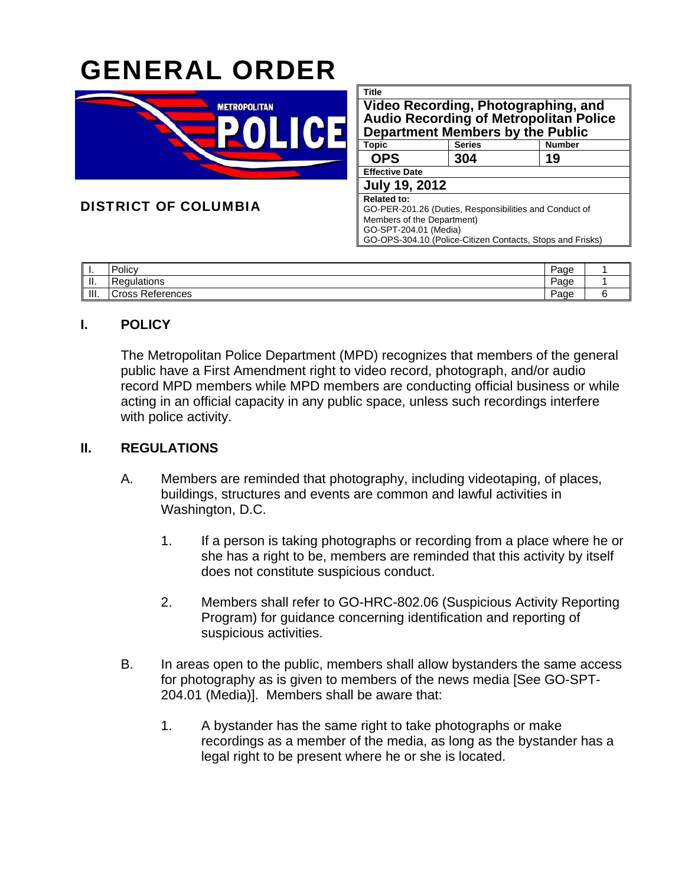# GENERAL ORDER



DISTRICT OF COLUMBIA

| Title                                                     |               |               |  |  |  |  |
|-----------------------------------------------------------|---------------|---------------|--|--|--|--|
| Video Recording, Photographing, and                       |               |               |  |  |  |  |
| <b>Audio Recording of Metropolitan Police</b>             |               |               |  |  |  |  |
| Department Members by the Public                          |               |               |  |  |  |  |
| Topic                                                     | <b>Series</b> | <b>Number</b> |  |  |  |  |
| <b>OPS</b>                                                | 304           | 19            |  |  |  |  |
| <b>Effective Date</b>                                     |               |               |  |  |  |  |
| <b>July 19, 2012</b>                                      |               |               |  |  |  |  |
| <b>Related to:</b>                                        |               |               |  |  |  |  |
| GO-PER-201.26 (Duties, Responsibilities and Conduct of    |               |               |  |  |  |  |
| Members of the Department)                                |               |               |  |  |  |  |
| GO-SPT-204.01 (Media)                                     |               |               |  |  |  |  |
| GO-OPS-304.10 (Police-Citizen Contacts, Stops and Frisks) |               |               |  |  |  |  |

| .      | . .<br><b>Policy</b>           | Page |  |
|--------|--------------------------------|------|--|
| <br>ш. | $D_{\alpha\alpha}$<br>tions    | Page |  |
| III.   | -<br>١C<br>References<br>`ross | Page |  |

### **I. POLICY**

The Metropolitan Police Department (MPD) recognizes that members of the general public have a First Amendment right to video record, photograph, and/or audio record MPD members while MPD members are conducting official business or while acting in an official capacity in any public space, unless such recordings interfere with police activity.

## **II. REGULATIONS**

- A. Members are reminded that photography, including videotaping, of places, buildings, structures and events are common and lawful activities in Washington, D.C.
	- 1. If a person is taking photographs or recording from a place where he or she has a right to be, members are reminded that this activity by itself does not constitute suspicious conduct.
	- 2. Members shall refer to GO-HRC-802.06 (Suspicious Activity Reporting Program) for guidance concerning identification and reporting of suspicious activities.
- B. In areas open to the public, members shall allow bystanders the same access for photography as is given to members of the news media [See GO-SPT-204.01 (Media)]. Members shall be aware that:
	- 1. A bystander has the same right to take photographs or make recordings as a member of the media, as long as the bystander has a legal right to be present where he or she is located.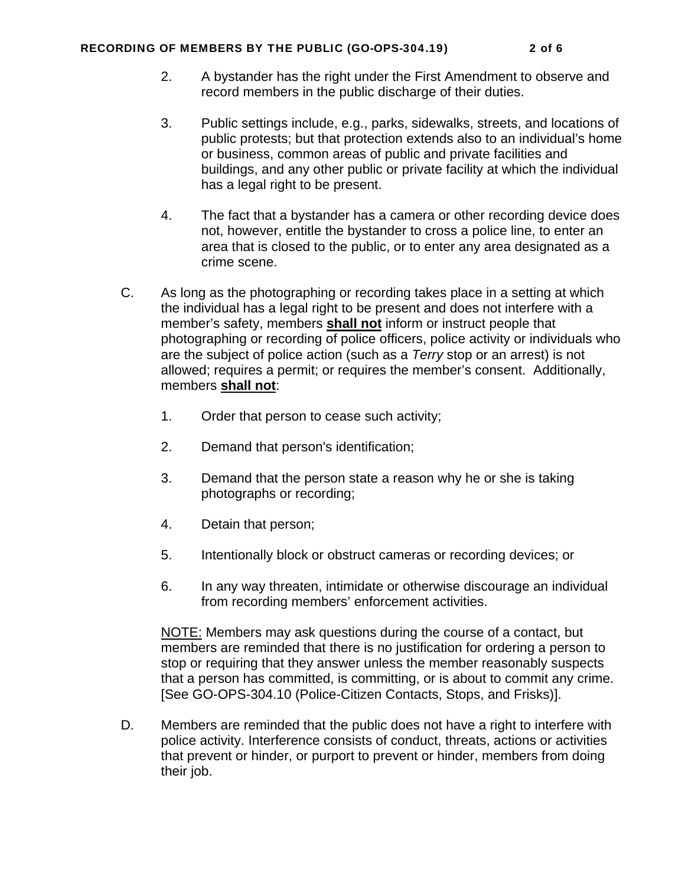#### RECORDING OF MEMBERS BY THE PUBLIC (GO-OPS-304.19) 2 of 6

- 2. A bystander has the right under the First Amendment to observe and record members in the public discharge of their duties.
- 3. Public settings include, e.g., parks, sidewalks, streets, and locations of public protests; but that protection extends also to an individual's home or business, common areas of public and private facilities and buildings, and any other public or private facility at which the individual has a legal right to be present.
- 4. The fact that a bystander has a camera or other recording device does not, however, entitle the bystander to cross a police line, to enter an area that is closed to the public, or to enter any area designated as a crime scene.
- C. As long as the photographing or recording takes place in a setting at which the individual has a legal right to be present and does not interfere with a member's safety, members **shall not** inform or instruct people that photographing or recording of police officers, police activity or individuals who are the subject of police action (such as a *Terry* stop or an arrest) is not allowed; requires a permit; or requires the member's consent. Additionally, members **shall not**:
	- 1. Order that person to cease such activity;
	- 2. Demand that person's identification;
	- 3. Demand that the person state a reason why he or she is taking photographs or recording;
	- 4. Detain that person;
	- 5. Intentionally block or obstruct cameras or recording devices; or
	- 6. In any way threaten, intimidate or otherwise discourage an individual from recording members' enforcement activities.

NOTE: Members may ask questions during the course of a contact, but members are reminded that there is no justification for ordering a person to stop or requiring that they answer unless the member reasonably suspects that a person has committed, is committing, or is about to commit any crime. [See GO-OPS-304.10 (Police-Citizen Contacts, Stops, and Frisks)].

D. Members are reminded that the public does not have a right to interfere with police activity. Interference consists of conduct, threats, actions or activities that prevent or hinder, or purport to prevent or hinder, members from doing their job.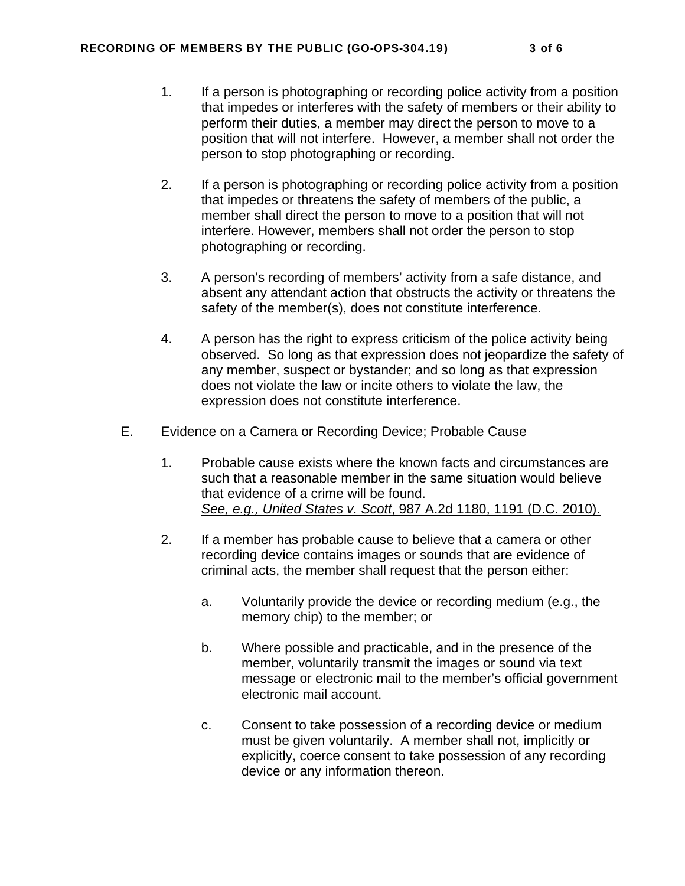- 1. If a person is photographing or recording police activity from a position that impedes or interferes with the safety of members or their ability to perform their duties, a member may direct the person to move to a position that will not interfere. However, a member shall not order the person to stop photographing or recording.
- 2. If a person is photographing or recording police activity from a position that impedes or threatens the safety of members of the public, a member shall direct the person to move to a position that will not interfere. However, members shall not order the person to stop photographing or recording.
- 3. A person's recording of members' activity from a safe distance, and absent any attendant action that obstructs the activity or threatens the safety of the member(s), does not constitute interference.
- 4. A person has the right to express criticism of the police activity being observed. So long as that expression does not jeopardize the safety of any member, suspect or bystander; and so long as that expression does not violate the law or incite others to violate the law, the expression does not constitute interference.
- E. Evidence on a Camera or Recording Device; Probable Cause
	- 1. Probable cause exists where the known facts and circumstances are such that a reasonable member in the same situation would believe that evidence of a crime will be found. *See, e.g., United States v. Scott*, 987 A.2d 1180, 1191 (D.C. 2010).
	- 2. If a member has probable cause to believe that a camera or other recording device contains images or sounds that are evidence of criminal acts, the member shall request that the person either:
		- a. Voluntarily provide the device or recording medium (e.g., the memory chip) to the member; or
		- b. Where possible and practicable, and in the presence of the member, voluntarily transmit the images or sound via text message or electronic mail to the member's official government electronic mail account.
		- c. Consent to take possession of a recording device or medium must be given voluntarily. A member shall not, implicitly or explicitly, coerce consent to take possession of any recording device or any information thereon.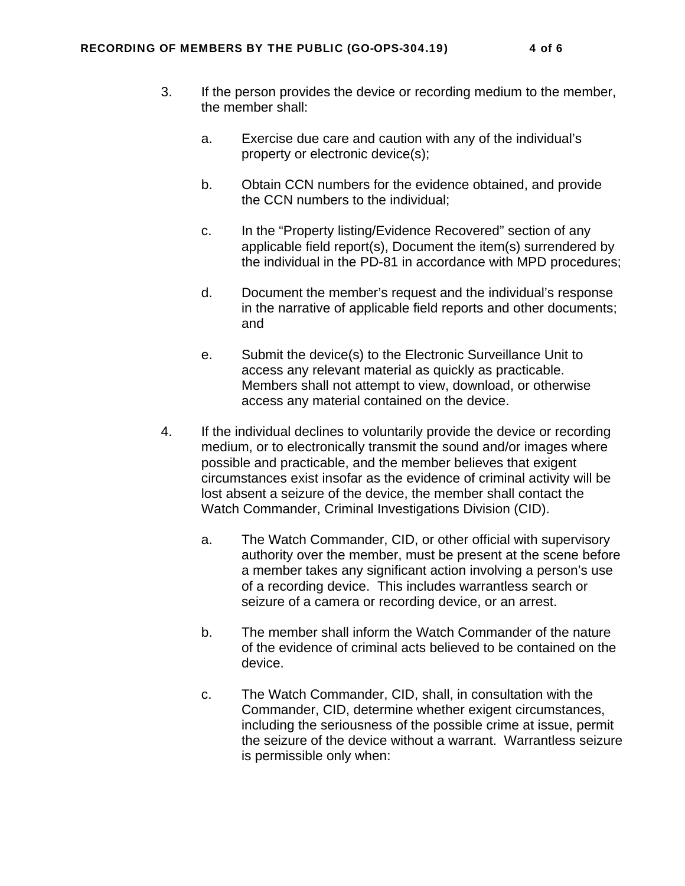- 3. If the person provides the device or recording medium to the member, the member shall:
	- a. Exercise due care and caution with any of the individual's property or electronic device(s);
	- b. Obtain CCN numbers for the evidence obtained, and provide the CCN numbers to the individual;
	- c. In the "Property listing/Evidence Recovered" section of any applicable field report(s), Document the item(s) surrendered by the individual in the PD-81 in accordance with MPD procedures;
	- d. Document the member's request and the individual's response in the narrative of applicable field reports and other documents; and
	- e. Submit the device(s) to the Electronic Surveillance Unit to access any relevant material as quickly as practicable. Members shall not attempt to view, download, or otherwise access any material contained on the device.
- 4. If the individual declines to voluntarily provide the device or recording medium, or to electronically transmit the sound and/or images where possible and practicable, and the member believes that exigent circumstances exist insofar as the evidence of criminal activity will be lost absent a seizure of the device, the member shall contact the Watch Commander, Criminal Investigations Division (CID).
	- a. The Watch Commander, CID, or other official with supervisory authority over the member, must be present at the scene before a member takes any significant action involving a person's use of a recording device. This includes warrantless search or seizure of a camera or recording device, or an arrest.
	- b. The member shall inform the Watch Commander of the nature of the evidence of criminal acts believed to be contained on the device.
	- c. The Watch Commander, CID, shall, in consultation with the Commander, CID, determine whether exigent circumstances, including the seriousness of the possible crime at issue, permit the seizure of the device without a warrant. Warrantless seizure is permissible only when: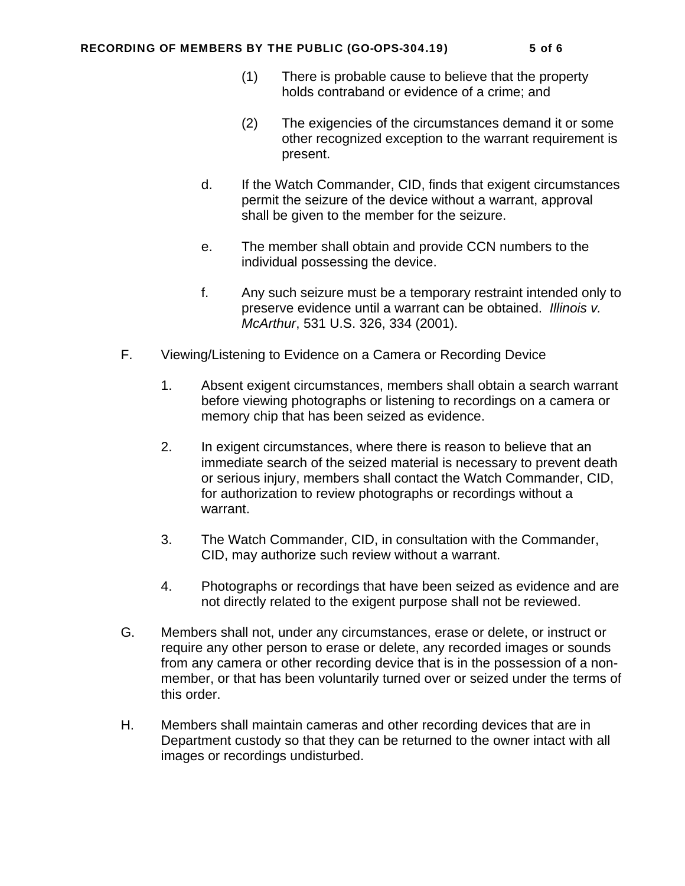#### RECORDING OF MEMBERS BY THE PUBLIC (GO-OPS-304.19) 5 of 6

- (1) There is probable cause to believe that the property holds contraband or evidence of a crime; and
- (2) The exigencies of the circumstances demand it or some other recognized exception to the warrant requirement is present.
- d. If the Watch Commander, CID, finds that exigent circumstances permit the seizure of the device without a warrant, approval shall be given to the member for the seizure.
- e. The member shall obtain and provide CCN numbers to the individual possessing the device.
- f. Any such seizure must be a temporary restraint intended only to preserve evidence until a warrant can be obtained. *Illinois v. McArthur*, 531 U.S. 326, 334 (2001).
- F. Viewing/Listening to Evidence on a Camera or Recording Device
	- 1. Absent exigent circumstances, members shall obtain a search warrant before viewing photographs or listening to recordings on a camera or memory chip that has been seized as evidence.
	- 2. In exigent circumstances, where there is reason to believe that an immediate search of the seized material is necessary to prevent death or serious injury, members shall contact the Watch Commander, CID, for authorization to review photographs or recordings without a warrant.
	- 3. The Watch Commander, CID, in consultation with the Commander, CID, may authorize such review without a warrant.
	- 4. Photographs or recordings that have been seized as evidence and are not directly related to the exigent purpose shall not be reviewed.
- G. Members shall not, under any circumstances, erase or delete, or instruct or require any other person to erase or delete, any recorded images or sounds from any camera or other recording device that is in the possession of a nonmember, or that has been voluntarily turned over or seized under the terms of this order.
- H. Members shall maintain cameras and other recording devices that are in Department custody so that they can be returned to the owner intact with all images or recordings undisturbed.